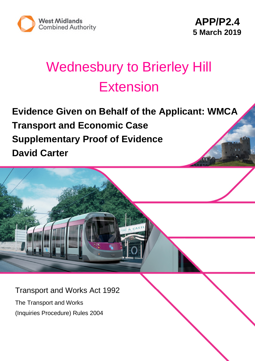

# Wednesbury to Brierley Hill Extension

**Evidence Given on Behalf of the Applicant: WMCA Transport and Economic Case Supplementary Proof of Evidence David Carter**

Transport and Works Act 1992

The Transport and Works (Inquiries Procedure) Rules 2004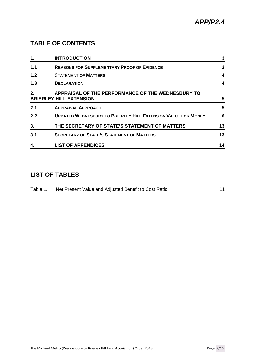## **TABLE OF CONTENTS**

| 1.  | <b>INTRODUCTION</b>                                                                 | 3  |
|-----|-------------------------------------------------------------------------------------|----|
| 1.1 | <b>REASONS FOR SUPPLEMENTARY PROOF OF EVIDENCE</b>                                  | 3  |
| 1.2 | <b>STATEMENT OF MATTERS</b>                                                         | 4  |
| 1.3 | <b>DECLARATION</b>                                                                  | 4  |
| 2.  | APPRAISAL OF THE PERFORMANCE OF THE WEDNESBURY TO<br><b>BRIERLEY HILL EXTENSION</b> | 5  |
| 2.1 | <b>APPRAISAL APPROACH</b>                                                           | 5  |
| 2.2 | <b>UPDATED WEDNESBURY TO BRIERLEY HILL EXTENSION VALUE FOR MONEY</b>                | 6  |
| 3.  | THE SECRETARY OF STATE'S STATEMENT OF MATTERS                                       | 13 |
| 3.1 | <b>SECRETARY OF STATE'S STATEMENT OF MATTERS</b>                                    | 13 |
| 4.  | <b>LIST OF APPENDICES</b>                                                           | 14 |

## **LIST OF TABLES**

| Table 1. | Net Present Value and Adjusted Benefit to Cost Ratio |  |
|----------|------------------------------------------------------|--|
|          |                                                      |  |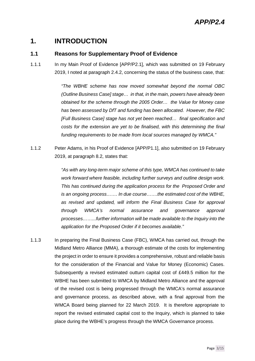## **1. INTRODUCTION**

#### **1.1 Reasons for Supplementary Proof of Evidence**

1.1.1 In my Main Proof of Evidence [APP/P2.1], which was submitted on 19 February 2019, I noted at paragraph 2.4.2, concerning the status of the business case, that:

> *"The WBHE scheme has now moved somewhat beyond the normal OBC (Outline Business Case] stage… in that, in the main, powers have already been obtained for the scheme through the 2005 Order… the Value for Money case has been assessed by DfT and funding has been allocated. However, the FBC [Full Business Case] stage has not yet been reached… final specification and costs for the extension are yet to be finalised, with this determining the final funding requirements to be made from local sources managed by WMCA."*

1.1.2 Peter Adams, in his Proof of Evidence [APP/P1.1], also submitted on 19 February 2019, at paragraph 8.2, states that:

> *"As with any long-term major scheme of this type, WMCA has continued to take work forward where feasible, including further surveys and outline design work. This has continued during the application process for the Proposed Order and is an ongoing process……. In due course…….the estimated cost of the WBHE, as revised and updated, will inform the Final Business Case for approval through WMCA's normal assurance and governance approval processes……...further information will be made available to the Inquiry into the application for the Proposed Order if it becomes available."*

1.1.3 In preparing the Final Business Case (FBC), WMCA has carried out, through the Midland Metro Alliance (MMA), a thorough estimate of the costs for implementing the project in order to ensure it provides a comprehensive, robust and reliable basis for the consideration of the Financial and Value for Money (Economic) Cases. Subsequently a revised estimated outturn capital cost of £449.5 million for the WBHE has been submitted to WMCA by Midland Metro Alliance and the approval of the revised cost is being progressed through the WMCA's normal assurance and governance process, as described above, with a final approval from the WMCA Board being planned for 22 March 2019. It is therefore appropriate to report the revised estimated capital cost to the Inquiry, which is planned to take place during the WBHE's progress through the WMCA Governance process.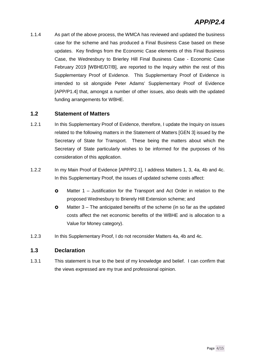1.1.4 As part of the above process, the WMCA has reviewed and updated the business case for the scheme and has produced a Final Business Case based on these updates. Key findings from the Economic Case elements of this Final Business Case, the Wednesbury to Brierley Hill Final Business Case - Economic Case February 2019 [WBHE/D7/B], are reported to the Inquiry within the rest of this Supplementary Proof of Evidence. This Supplementary Proof of Evidence is intended to sit alongside Peter Adams' Supplementary Proof of Evidence [APP/P1.4] that, amongst a number of other issues, also deals with the updated funding arrangements for WBHE.

#### **1.2 Statement of Matters**

- 1.2.1 In this Supplementary Proof of Evidence, therefore, I update the Inquiry on issues related to the following matters in the Statement of Matters [GEN 3] issued by the Secretary of State for Transport. These being the matters about which the Secretary of State particularly wishes to be informed for the purposes of his consideration of this application.
- 1.2.2 In my Main Proof of Evidence [APP/P2.1], I address Matters 1, 3, 4a, 4b and 4c. In this Supplementary Proof, the issues of updated scheme costs affect:
	- **O** Matter 1 Justification for the Transport and Act Order in relation to the proposed Wednesbury to Brierely Hill Extension scheme; and
	- Matter 3 The anticipated beneifts of the scheme (in so far as the updated costs affect the net economic benefits of the WBHE and is allocation to a Value for Money category).
- 1.2.3 In this Supplementary Proof, I do not reconsider Matters 4a, 4b and 4c.

#### **1.3 Declaration**

1.3.1 This statement is true to the best of my knowledge and belief. I can confirm that the views expressed are my true and professional opinion.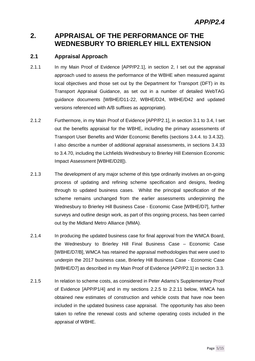## **2. APPRAISAL OF THE PERFORMANCE OF THE WEDNESBURY TO BRIERLEY HILL EXTENSION**

#### **2.1 Appraisal Approach**

- 2.1.1 In my Main Proof of Evidence [APP/P2.1], in section 2, I set out the appraisal approach used to assess the performance of the WBHE when measured against local objectives and those set out by the Department for Transport (DFT) in its Transport Appraisal Guidance, as set out in a number of detailed WebTAG guidance documents [WBHE/D11-22, WBHE/D24, WBHE/D42 and updated versions referenced with A/B suffixes as appropriate).
- 2.1.2 Furthermore, in my Main Proof of Evidence [APP/P2.1], in section 3.1 to 3.4, I set out the benefits appraisal for the WBHE, including the primary assessments of Transport User Benefits and Wider Economic Benefits (sections 3.4.4. to 3.4.32). I also describe a number of additional appraisal assessments, in sections 3.4.33 to 3.4.70, including the Lichfields Wednesbury to Brierley Hill Extension Economic Impact Assessment [WBHE/D28]).
- 2.1.3 The development of any major scheme of this type ordinarily involves an on-going process of updating and refining scheme specification and designs, feeding through to updated business cases. Whilst the principal specification of the scheme remains unchanged from the earlier assessments underpinning the Wednesbury to Brierley Hill Business Case - Economic Case [WBHE/D7], further surveys and outline design work, as part of this ongoing process, has been carried out by the Midland Metro Alliance (MMA).
- 2.1.4 In producing the updated business case for final approval from the WMCA Board, the Wednesbury to Brierley Hill Final Business Case – Economic Case [WBHE/D7/B], WMCA has retained the appraisal methodologies that were used to underpin the 2017 business case, Brierley Hill Business Case - Economic Case [WBHE/D7] as described in my Main Proof of Evidence [APP/P2.1] in section 3.3.
- 2.1.5 In relation to scheme costs, as considered in Peter Adams's Supplementary Proof of Evidence [APP/P1/4] and in my sections 2.2.5 to 2.2.11 below, WMCA has obtained new estimates of construction and vehicle costs that have now been included in the updated business case appraisal. The opportunity has also been taken to refine the renewal costs and scheme operating costs included in the appraisal of WBHE.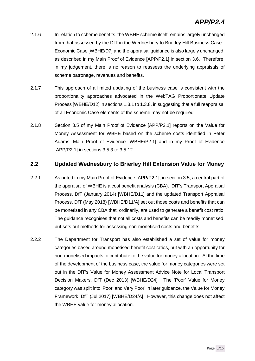- 2.1.6 In relation to scheme benefits, the WBHE scheme itself remains largely unchanged from that assessed by the DfT in the Wednesbury to Brierley Hill Business Case - Economic Case [WBHE/D7] and the appraisal guidance is also largely unchanged, as described in my Main Proof of Evidence [APP/P2.1] in section 3.6. Therefore, in my judgement, there is no reason to reassess the underlying appraisals of scheme patronage, revenues and benefits.
- 2.1.7 This approach of a limited updating of the business case is consistent with the proportionality approaches advocated in the WebTAG Proportionate Update Process [WBHE/D12] in sections 1.3.1 to 1.3.8, in suggesting that a full reappraisal of all Economic Case elements of the scheme may not be required.
- 2.1.8 Section 3.5 of my Main Proof of Evidence [APP/P2.1] reports on the Value for Money Assessment for WBHE based on the scheme costs identified in Peter Adams' Main Proof of Evidence [WBHE/P2.1] and in my Proof of Evidence [APP/P2.1] in sections 3.5.3 to 3.5.12.

#### **2.2 Updated Wednesbury to Brierley Hill Extension Value for Money**

- 2.2.1 As noted in my Main Proof of Evidence [APP/P2.1], in section 3.5, a central part of the appraisal of WBHE is a cost benefit analysis (CBA). DfT's Transport Appraisal Process, DfT (January 2014) [WBHE/D11] and the updated Transport Appraisal Process, DfT (May 2018) [WBHE/D11/A] set out those costs and benefits that can be monetised in any CBA that, ordinarily, are used to generate a benefit cost ratio. The guidance recognises that not all costs and benefits can be readily monetised, but sets out methods for assessing non-monetised costs and benefits.
- 2.2.2 The Department for Transport has also established a set of value for money categories based around monetised benefit cost ratios, but with an opportunity for non-monetised impacts to contribute to the value for money allocation. At the time of the development of the business case, the value for money categories were set out in the DfT's Value for Money Assessment Advice Note for Local Transport Decision Makers, DfT (Dec 2013) [WBHE/D24]. The 'Poor' Value for Money category was split into 'Poor' and Very Poor' in later guidance, the Value for Money Framework, DfT (Jul 2017) [WBHE/D24/A]. However, this change does not affect the WBHE value for money allocation.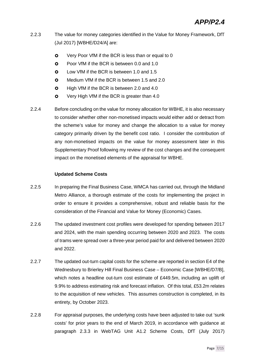- 2.2.3 The value for money categories identified in the Value for Money Framework, DfT (Jul 2017) [WBHE/D24/A] are:
	- **O** Very Poor VfM if the BCR is less than or equal to 0
	- **O** Poor VfM if the BCR is between 0.0 and 1.0
	- **O** Low VfM if the BCR is between 1.0 and 1.5
	- **O** Medium VfM if the BCR is between 1.5 and 2.0
	- **O** High VfM if the BCR is between 2.0 and 4.0
	- **O** Very High VfM if the BCR is greater than 4.0
- 2.2.4 Before concluding on the value for money allocation for WBHE, it is also necessary to consider whether other non-monetised impacts would either add or detract from the scheme's value for money and change the allocation to a value for money category primarily driven by the benefit cost ratio. I consider the contribution of any non-monetised impacts on the value for money assessment later in this Supplementary Proof following my review of the cost changes and the consequent impact on the monetised elements of the appraisal for WBHE.

#### **Updated Scheme Costs**

- 2.2.5 In preparing the Final Business Case, WMCA has carried out, through the Midland Metro Alliance, a thorough estimate of the costs for implementing the project in order to ensure it provides a comprehensive, robust and reliable basis for the consideration of the Financial and Value for Money (Economic) Cases.
- 2.2.6 The updated investment cost profiles were developed for spending between 2017 and 2024, with the main spending occurring between 2020 and 2023. The costs of trams were spread over a three-year period paid for and delivered between 2020 and 2022.
- 2.2.7 The updated out-turn capital costs for the scheme are reported in section E4 of the Wednesbury to Brierley Hill Final Business Case – Economic Case [WBHE/D7/B], which notes a headline out-turn cost estimate of £449.5m, including an uplift of 9.9% to address estimating risk and forecast inflation. Of this total, £53.2m relates to the acquisition of new vehicles. This assumes construction is completed, in its entirety, by October 2023.
- 2.2.8 For appraisal purposes, the underlying costs have been adjusted to take out 'sunk costs' for prior years to the end of March 2019, in accordance with guidance at paragraph 2.3.3 in WebTAG Unit A1.2 Scheme Costs, DfT (July 2017)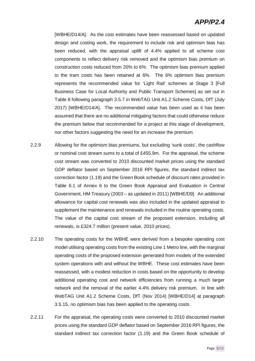## *APP/P2.4*

[WBHE/D14/A]. As the cost estimates have been reassessed based on updated design and costing work, the requirement to include risk and optimism bias has been reduced, with the appraisal uplift of 4.4% applied to all scheme cost components to reflect delivery risk removed and the optimism bias premium on construction costs reduced from 20% to 6%. The optimism bias premium applied to the tram costs has been retained at 6%. The 6% optimism bias premium represents the recommended value for 'Light Rail' schemes at Stage 3 [Full Business Case for Local Authority and Public Transport Schemes] as set out in Table 8 following paragraph 3.5.7 in WebTAG Unit A1.2 Scheme Costs, DfT (July 2017) [WBHE/D14/A]. The recommended value has been used as it has been assumed that there are no additional mitigating factors that could otherwise reduce the premium below that recommended for a project at this stage of development, nor other factors suggesting the need for an increase the premium.

- 2.2.9 Allowing for the optimism bias premiums, but excluding 'sunk costs', the cashflow or nominal cost stream sums to a total of £455.9m. For the appraisal, the scheme cost stream was converted to 2010 discounted market prices using the standard GDP deflator based on September 2016 RPI figures, the standard indirect tax correction factor (1.19) and the Green Book schedule of discount rates provided in Table 6.1 of Annex 6 to the Green Book Appraisal and Evaluation in Central Government, HM Treasury (2003 – as updated in 2011) [WBHE/D9]. An additional allowance for capital cost renewals was also included in the updated appraisal to supplement the maintenance and renewals included in the routine operating costs. The value of the capital cost stream of the proposed extension, including all renewals, is £324.7 million (present value, 2010 prices).
- 2.2.10 The operating costs for the WBHE were derived from a bespoke operating cost model utilising operating costs from the existing Line 1 Metro line, with the marginal operating costs of the proposed extension generated from models of the extended system operations with and without the WBHE. These cost estimates have been reassessed, with a modest reduction in costs based on the opportunity to develop additional operating cost and network efficiencies from running a much larger network and the removal of the earlier 4.4% delivery risk premium. In line with WebTAG Unit A1.2 Scheme Costs, DfT (Nov 2014) [WBHE/D14] at paragraph 3.5.15, no optimism bias has been applied to the operating costs.
- 2.2.11 For the appraisal, the operating costs were converted to 2010 discounted market prices using the standard GDP deflator based on September 2016 RPI figures, the standard indirect tax correction factor (1.19) and the Green Book schedule of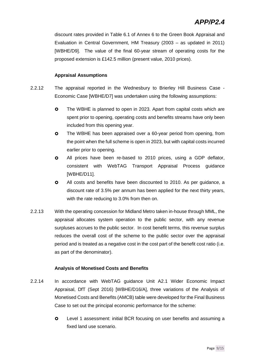discount rates provided in Table 6.1 of Annex 6 to the Green Book Appraisal and Evaluation in Central Government, HM Treasury (2003 – as updated in 2011) [WBHE/D9]. The value of the final 60-year stream of operating costs for the proposed extension is £142.5 million (present value, 2010 prices).

#### **Appraisal Assumptions**

- 2.2.12 The appraisal reported in the Wednesbury to Brierley Hill Business Case Economic Case [WBHE/D7] was undertaken using the following assumptions:
	- **O** The WBHE is planned to open in 2023. Apart from capital costs which are spent prior to opening, operating costs and benefits streams have only been included from this opening year.
	- **O** The WBHE has been appraised over a 60-year period from opening, from the point when the full scheme is open in 2023, but with capital costs incurred earlier prior to opening.
	- All prices have been re-based to 2010 prices, using a GDP deflator, consistent with WebTAG Transport Appraisal Process guidance [WBHE/D11].
	- **O** All costs and benefits have been discounted to 2010. As per guidance, a discount rate of 3.5% per annum has been applied for the next thirty years, with the rate reducing to 3.0% from then on.
- 2.2.13 With the operating concession for Midland Metro taken in-house through MML, the appraisal allocates system operation to the public sector, with any revenue surpluses accrues to the public sector. In cost benefit terms, this revenue surplus reduces the overall cost of the scheme to the public sector over the appraisal period and is treated as a negative cost in the cost part of the benefit cost ratio (i.e. as part of the denominator).

#### **Analysis of Monetised Costs and Benefits**

- 2.2.14 In accordance with WebTAG guidance Unit A2.1 Wider Economic Impact Appraisal, DfT (Sept 2016) [WBHE/D16/A], three variations of the Analysis of Monetised Costs and Benefits (AMCB) table were developed for the Final Business Case to set out the principal economic performance for the scheme:
	- **O** Level 1 assessment: initial BCR focusing on user benefits and assuming a fixed land use scenario.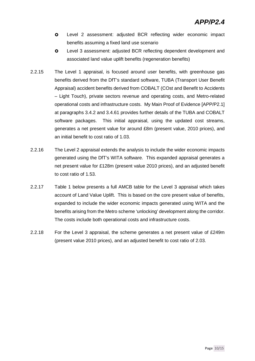- Level 2 assessment: adjusted BCR reflecting wider economic impact benefits assuming a fixed land use scenario
- Level 3 assessment: adjusted BCR reflecting dependent development and associated land value uplift benefits (regeneration benefits)
- 2.2.15 The Level 1 appraisal, is focused around user benefits, with greenhouse gas benefits derived from the DfT's standard software, TUBA (Transport User Benefit Appraisal) accident benefits derived from COBALT (COst and Benefit to Accidents – Light Touch), private sectors revenue and operating costs, and Metro-related operational costs and infrastructure costs. My Main Proof of Evidence [APP/P2.1] at paragraphs 3.4.2 and 3.4.61 provides further details of the TUBA and COBALT software packages. This initial appraisal, using the updated cost streams, generates a net present value for around £8m (present value, 2010 prices), and an initial benefit to cost ratio of 1.03.
- 2.2.16 The Level 2 appraisal extends the analysis to include the wider economic impacts generated using the DfT's WITA software. This expanded appraisal generates a net present value for £128m (present value 2010 prices), and an adjusted benefit to cost ratio of 1.53.
- 2.2.17 Table 1 below presents a full AMCB table for the Level 3 appraisal which takes account of Land Value Uplift. This is based on the core present value of benefits, expanded to include the wider economic impacts generated using WITA and the benefits arising from the Metro scheme 'unlocking' development along the corridor. The costs include both operational costs and infrastructure costs.
- 2.2.18 For the Level 3 appraisal, the scheme generates a net present value of £249m (present value 2010 prices), and an adjusted benefit to cost ratio of 2.03.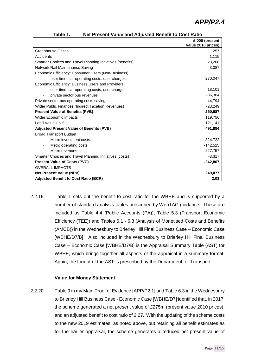|                                                            | £'000 (present<br>value 2010 prices) |
|------------------------------------------------------------|--------------------------------------|
| Greenhouse Gases                                           | 257                                  |
| Accidents                                                  | 1.115                                |
| Smarter Choices and Travel Planning Initiatives (benefits) | 23,200                               |
| Network Rail Maintenance Saving                            | 3,087                                |
| Economic Efficiency: Consumer Users (Non-Business)         |                                      |
| user time, car operating costs, user charges               | 270,047                              |
| Economic Efficiency: Business Users and Providers          |                                      |
| user time, car operating costs, user charges               | 18,101                               |
| private sector bus revenues                                | $-86,364$                            |
| Private sector bus operating costs savings                 | 44,794                               |
| Wider Public Finances (Indirect Taxation Revenues)         | $-23,249$                            |
| <b>Present Value of Benefits (PVB)</b>                     | 250,987                              |
| <b>Wider Economic Impacts</b>                              | 119,756                              |
| <b>Land Value Uplift</b>                                   | 121.141                              |
| <b>Adjusted Present Value of Benefits (PVB)</b>            | 491,884                              |
| <b>Broad Transport Budget</b>                              |                                      |
| Metro investment costs                                     | $-324.722$                           |
| Metro operating costs                                      | $-142,525$                           |
| Metro revenues                                             | 227,757                              |
| Smarter Choices and Travel Planning Initiatives (costs)    | $-3.317$                             |
| <b>Present Value of Costs (PVC)</b>                        | $-242,807$                           |
| <b>OVERALL IMPACTS</b>                                     |                                      |
| <b>Net Present Value (NPV)</b>                             | 249,077                              |
| <b>Adjusted Benefit to Cost Ratio (BCR)</b>                | 2.03                                 |

| Table 1. | Net Present Value and Adjusted Benefit to Cost Ratio |
|----------|------------------------------------------------------|
|----------|------------------------------------------------------|

2.2.19 Table 1 sets out the benefit to cost ratio for the WBHE and is supported by a number of standard analysis tables prescribed by WebTAG guidance. These are included as Table 4.4 (Public Accounts (PA)), Table 5.3 (Transport Economic Efficiency (TEE)) and Tables 6.1 - 6.3 (Analysis of Monetised Costs and Benefits (AMCB)) in the Wednesbury to Brierley Hill Final Business Case – Economic Case [WBHE/D7/B]. Also included in the Wednesbury to Brierley Hill Final Business Case – Economic Case [WBHE/D7/B] is the Appraisal Summary Table (AST) for WBHE, which brings together all aspects of the appraisal in a summary format. Again, the format of the AST is prescribed by the Department for Transport.

#### **Value for Money Statement**

2.2.20 Table 9 in my Main Proof of Evidence [APP/P2.1] and Table 6.3 in the Wednesbury to Brierley Hill Business Case - Economic Case [WBHE/D7] identified that, in 2017, the scheme generated a net present value of £275m (present value 2010 prices), and an adjusted benefit to cost ratio of 2.27. With the updating of the scheme costs to the new 2019 estimates, as noted above, but retaining all benefit estimates as for the earlier appraisal, the scheme generates a reduced net present value of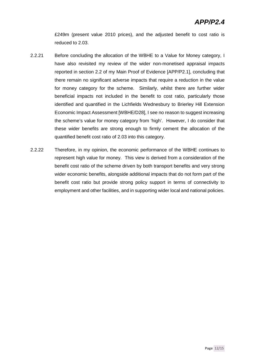£249m (present value 2010 prices), and the adjusted benefit to cost ratio is reduced to 2.03.

- 2.2.21 Before concluding the allocation of the WBHE to a Value for Money category, I have also revisited my review of the wider non-monetised appraisal impacts reported in section 2.2 of my Main Proof of Evidence [APP/P2.1], concluding that there remain no significant adverse impacts that require a reduction in the value for money category for the scheme. Similarly, whilst there are further wider beneficial impacts not included in the benefit to cost ratio, particularly those identified and quantified in the Lichfields Wednesbury to Brierley Hill Extension Economic Impact Assessment [WBHE/D28], I see no reason to suggest increasing the scheme's value for money category from 'high'. However, I do consider that these wider benefits are strong enough to firmly cement the allocation of the quantified benefit cost ratio of 2.03 into this category.
- 2.2.22 Therefore, in my opinion, the economic performance of the WBHE continues to represent high value for money. This view is derived from a consideration of the benefit cost ratio of the scheme driven by both transport benefits and very strong wider economic benefits, alongside additional impacts that do not form part of the benefit cost ratio but provide strong policy support in terms of connectivity to employment and other facilities, and in supporting wider local and national policies.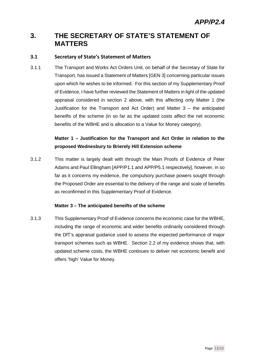## **3. THE SECRETARY OF STATE'S STATEMENT OF MATTERS**

#### **3.1 Secretary of State's Statement of Matters**

3.1.1 The Transport and Works Act Orders Unit, on behalf of the Secretary of State for Transport, has issued a Statement of Matters [GEN 3] concerning particular issues upon which he wishes to be informed. For this section of my Supplementary Proof of Evidence, I have further reviewed the Statement of Matters in light of the updated appraisal considered in section 2 above, with this affecting only Matter 1 (the Justification for the Transport and Act Order) and Matter 3 – the anticipated beneifts of the scheme (in so far as the updated costs affect the net economic benefits of the WBHE and is allocation to a Value for Money category).

### **Matter 1 – Justification for the Transport and Act Order in relation to the proposed Wednesbury to Brierely Hill Extension scheme**

3.1.2 This matter is largely dealt with through the Main Proofs of Evidence of Peter Adams and Paul Ellingham [APP/P1.1 and APP/P5.1 respectively], however, in so far as it concerns my evidence, the compulsory purchase powers sought through the Proposed Order are essential to the delivery of the range and scale of benefits as reconfirmed in this Supplementary Proof of Evidence.

#### **Matter 3 – The anticipated beneifts of the scheme**

3.1.3 This Supplementary Proof of Evidence concerns the economic case for the WBHE, including the range of economic and wider benefits ordinarily considered through the DfT's appraisal guidance used to assess the expected performance of major transport schemes such as WBHE. Section 2.2 of my evidence shows that, with updated scheme costs, the WBHE continues to deliver net economic benefit and offers 'high' Value for Money.